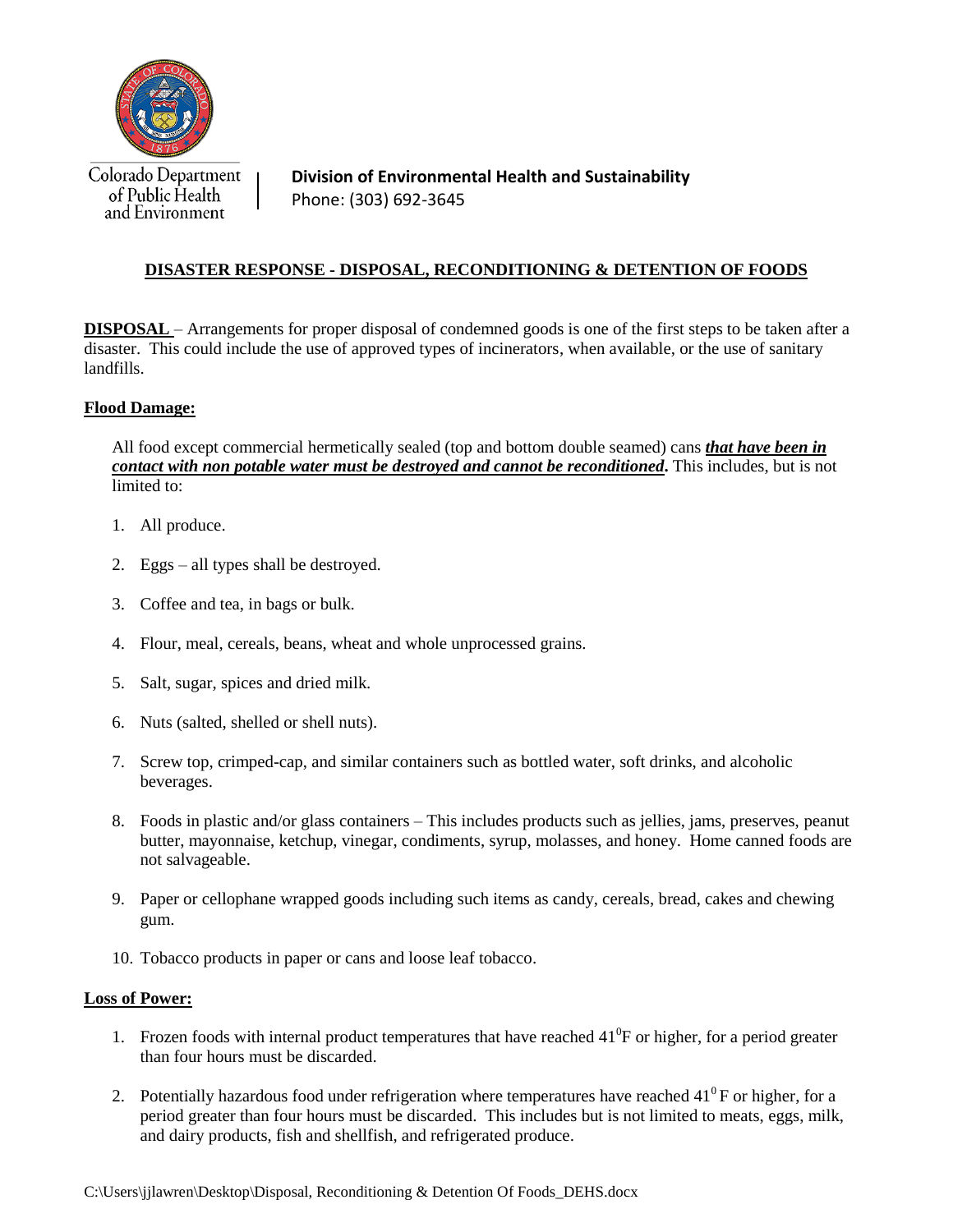

Colorado Department of Public Health and Environment

**Division of Environmental Health and Sustainability** Phone: (303) 692-3645

## **DISASTER RESPONSE - DISPOSAL, RECONDITIONING & DETENTION OF FOODS**

**DISPOSAL** – Arrangements for proper disposal of condemned goods is one of the first steps to be taken after a disaster. This could include the use of approved types of incinerators, when available, or the use of sanitary landfills.

## **Flood Damage:**

All food except commercial hermetically sealed (top and bottom double seamed) cans *that have been in contact with non potable water must be destroyed and cannot be reconditioned***.** This includes, but is not limited to:

- 1. All produce.
- 2. Eggs all types shall be destroyed.
- 3. Coffee and tea, in bags or bulk.
- 4. Flour, meal, cereals, beans, wheat and whole unprocessed grains.
- 5. Salt, sugar, spices and dried milk.
- 6. Nuts (salted, shelled or shell nuts).
- 7. Screw top, crimped-cap, and similar containers such as bottled water, soft drinks, and alcoholic beverages.
- 8. Foods in plastic and/or glass containers This includes products such as jellies, jams, preserves, peanut butter, mayonnaise, ketchup, vinegar, condiments, syrup, molasses, and honey. Home canned foods are not salvageable.
- 9. Paper or cellophane wrapped goods including such items as candy, cereals, bread, cakes and chewing gum.
- 10. Tobacco products in paper or cans and loose leaf tobacco.

## **Loss of Power:**

- 1. Frozen foods with internal product temperatures that have reached  $41^{\circ}$ F or higher, for a period greater than four hours must be discarded.
- 2. Potentially hazardous food under refrigeration where temperatures have reached  $41^0$ F or higher, for a period greater than four hours must be discarded. This includes but is not limited to meats, eggs, milk, and dairy products, fish and shellfish, and refrigerated produce.